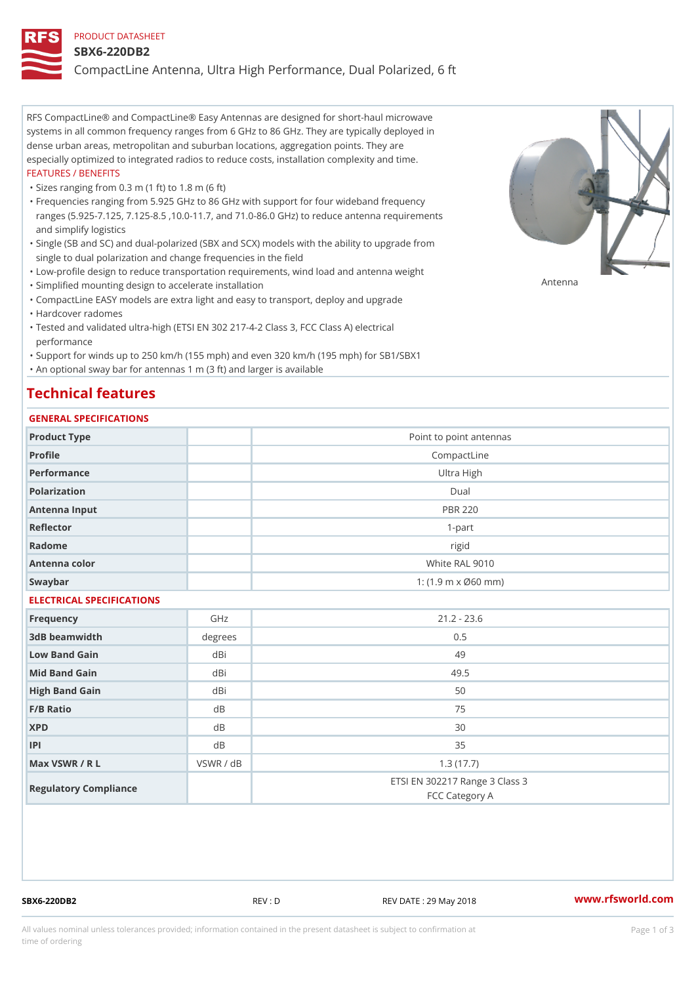### PRODUCT DATASHEET

### SBX6-220DB2

CompactLine Antenna, Ultra High Performance, Dual Polarized, 6 ft

RFS CompactLine® and CompactLine® Easy Antennas are designed for short-haul microwave systems in all common frequency ranges from 6 GHz to 86 GHz. They are typically deployed in dense urban areas, metropolitan and suburban locations, aggregation points. They are especially optimized to integrated radios to reduce costs, installation complexity and time. FEATURES / BENEFITS

"Sizes ranging from 0.3 m (1 ft) to 1.8 m (6 ft)

Frequencies ranging from 5.925 GHz to 86 GHz with support for four wideband frequency " ranges (5.925-7.125, 7.125-8.5 ,10.0-11.7, and 71.0-86.0 GHz) to reduce antenna requirements and simplify logistics

Single (SB and SC) and dual-polarized (SBX and SCX) models with the ability to upgrade from " single to dual polarization and change frequencies in the field

"Low-profile design to reduce transportation requirements, wind load and antenna weight

"Simplified mounting design to accelerate installation

 "CompactLine EASY models are extra light and easy to transport, deploy and upgrade "Hardcover radomes

Tested and validated ultra-high (ETSI EN 302 217-4-2 Class 3, FCC Class A) electrical " performance

 "Support for winds up to 250 km/h (155 mph) and even 320 km/h (195 mph) for SB1/SBX1 "An optional sway bar for antennas 1 m (3 ft) and larger is available

### Technical features

### GENERAL SPECIFICATIONS

| OLIVERAL OF LOTITOATIONS  |           |                                                  |  |  |
|---------------------------|-----------|--------------------------------------------------|--|--|
| Product Type              |           | Point to point antennas                          |  |  |
| Profile                   |           | CompactLine                                      |  |  |
| Performance               |           | Ultra High                                       |  |  |
| Polarization              | $D$ ual   |                                                  |  |  |
| Antenna Input             |           | <b>PBR 220</b>                                   |  |  |
| Reflector                 |           | $1 - p$ art                                      |  |  |
| Radome                    |           | rigid                                            |  |  |
| Antenna color             |           | White RAL 9010                                   |  |  |
| Swaybar                   |           | 1: $(1.9 \, m \times 060 \, mm)$                 |  |  |
| ELECTRICAL SPECIFICATIONS |           |                                                  |  |  |
| Frequency                 | GHz       | $21.2 - 23.6$                                    |  |  |
| 3dB beamwidth             | degrees   | 0.5                                              |  |  |
| Low Band Gain             | dBi       | 49                                               |  |  |
| Mid Band Gain             | dBi       | 49.5                                             |  |  |
| High Band Gain            | dBi       | 50                                               |  |  |
| F/B Ratio                 | d B       | 75                                               |  |  |
| <b>XPD</b>                | d B       | 30                                               |  |  |
| P                         | d B       | 35                                               |  |  |
| Max VSWR / R L            | VSWR / dB | 1.3(17.7)                                        |  |  |
| Regulatory Compliance     |           | ETSI EN 302217 Range 3 Class 3<br>FCC Category A |  |  |

SBX6-220DB2 REV : D REV DATE : 29 May 2018 [www.](https://www.rfsworld.com)rfsworld.com

Antenna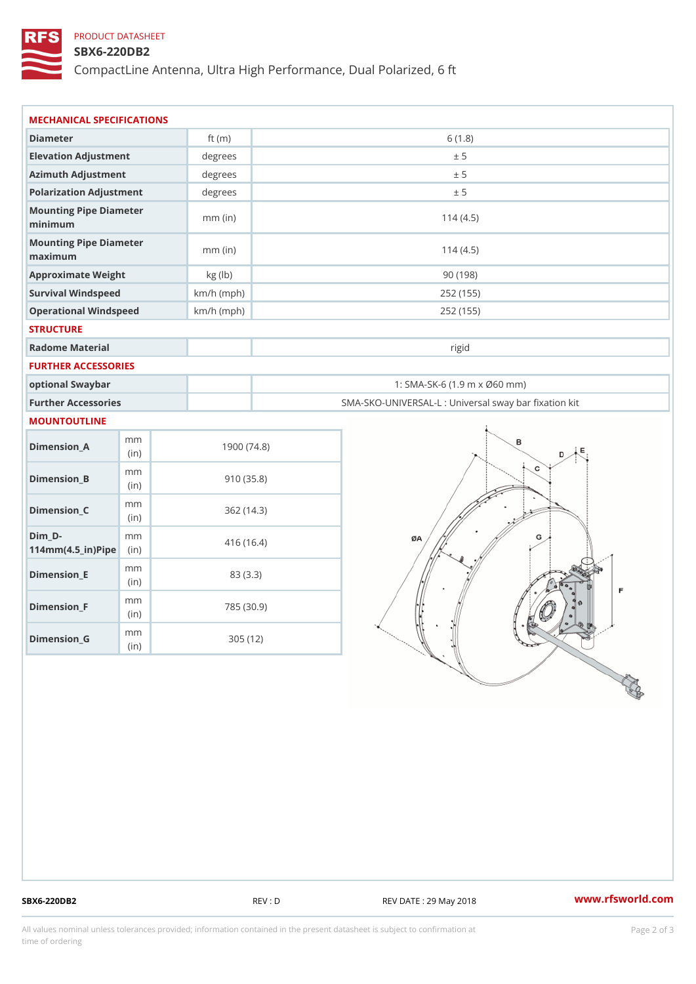## PRODUCT DATASHEET

### SBX6-220DB2

CompactLine Antenna, Ultra High Performance, Dual Polarized, 6 ft

| MECHANICAL SPECIFICATIONS                                                      |              |                                                   |
|--------------------------------------------------------------------------------|--------------|---------------------------------------------------|
| Diameter                                                                       | ft $(m)$     | 6(1.8)                                            |
| Elevation Adjustment                                                           | degrees      | ± 5                                               |
| Azimuth Adjustment                                                             | degrees      | ± 5                                               |
| Polarization Adjustment                                                        | degrees      | ± 5                                               |
| Mounting Pipe Diameter<br>minimum                                              | $mm$ (in)    | 114(4.5)                                          |
| Mounting Pipe Diameter<br>maximum                                              | $mm$ (in)    | 114(4.5)                                          |
| Approximate Weight                                                             | kg (lb)      | 90(198)                                           |
| Survival Windspeed                                                             | $km/h$ (mph) | 252 (155)                                         |
| Operational Windspeed                                                          | $km/h$ (mph) | 252 (155)                                         |
| <b>STRUCTURE</b>                                                               |              |                                                   |
| Radome Material                                                                |              | rigid                                             |
| FURTHER ACCESSORIES                                                            |              |                                                   |
| optional Swaybar                                                               |              | 1: SMA-SK-6 (1.9 m x Ø60 mm)                      |
| Further Accessories                                                            |              | SMA-SKO-UNIVERSAL-L : Universal sway bar fixation |
| MOUNTOUTLINE                                                                   |              |                                                   |
| m m<br>$Dimenision_A$<br>(in)                                                  |              | 1900(74.8)                                        |
| m m<br>$Dimension_B$<br>(in)                                                   |              | 910(35.8)                                         |
| m m<br>$Dimension_C$<br>(in)                                                   |              | 362(14.3)                                         |
| $Dim_D - D -$<br>m m<br>$114$ m m (4.5 _ ir ) $\sqrt{$ ii p $\sqrt{$ $\approx$ |              | 416 (16.4)                                        |
| m m<br>$Dimension$ = E<br>(i n)                                                |              | 83 (3.3)                                          |
| m m<br>$Dimension_F$<br>(in)                                                   |              | 785 (30.9)                                        |
| m m<br>$Dimension_G$                                                           | 305(12)      |                                                   |

SBX6-220DB2 REV : D REV DATE : 29 May 2018 WWW.rfsworld.com

All values nominal unless tolerances provided; information contained in the present datasheet is subject to Pcapgelio an atio time of ordering